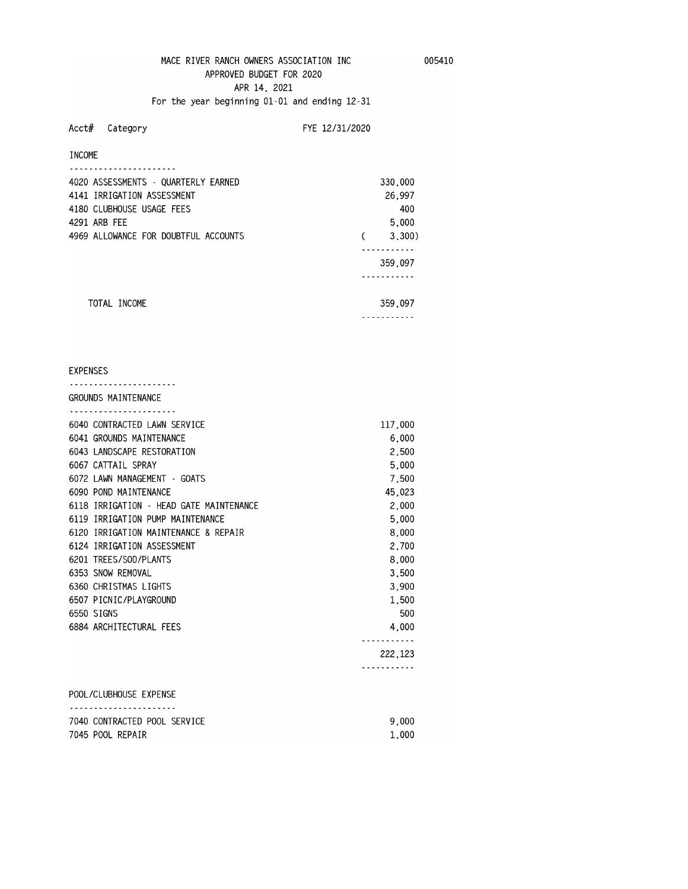# **MACE RIVER RANCH OWNERS ASSOCIATION INC 005410 APPROVED BUDGET FOR 2020 APR 14, 2021**

**For the year beginning 01-01 and ending 12-31 Acct# Category FYE 12/31/2020** 

| 4020 ASSESSMENTS - QUARTERLY EARNED  | 330,000 |
|--------------------------------------|---------|
| 4141 IRRIGATION ASSESSMENT           | 26,997  |
| 4180 CLUBHOUSE USAGE FEES            | 400     |
| 4291 ARB FEE                         | 5.000   |
| 4969 ALLOWANCE FOR DOUBTFUL ACCOUNTS | 3,300)  |
|                                      |         |
|                                      | 359,097 |
|                                      |         |
| TOTAI INCOMF                         | 359,097 |
|                                      |         |

# **EXPENSES ---------------------- GROUNDS MAINTENANCE ---------------------- 6040 CONTRACTED LAWN SERVICE 117,000 6041 GROUNDS MAINTENANCE 6,000 6043 LANDSCAPE RESTORATION 2,500 6067 CATTAIL SPRAY 5,000 6072 LAWN MANAGEMENT - GOATS 7,500 6090 POND MAINTENANCE 45,023 6118 IRRIGATION - HEAD GATE MAINTENANCE 2,000 6119 IRRIGATION PUMP MAINTENANCE 5,000 6120 IRRIGATION MAINTENANCE &REPAIR 8,000 6124 IRRIGATION ASSESSMENT 2,700 6201 TREES/SOD/PLANTS 8,000 6353 SNOW REMOVAL 3,500 6360 CHRISTMAS LIGHTS 3,900 6507 PICNIC/PLAYGROUND 1,500 6550 SIGNS 500 6884 ARCHITECTURAL FEES 4,000 ----------- 222,123 ----------- POOL/CLUBHOUSE EXPENSE**

# **---------------------- 7040 CONTRACTED POOL SERVICE 9,000 7045 POOL REPAIR 1,000**

**INCOME**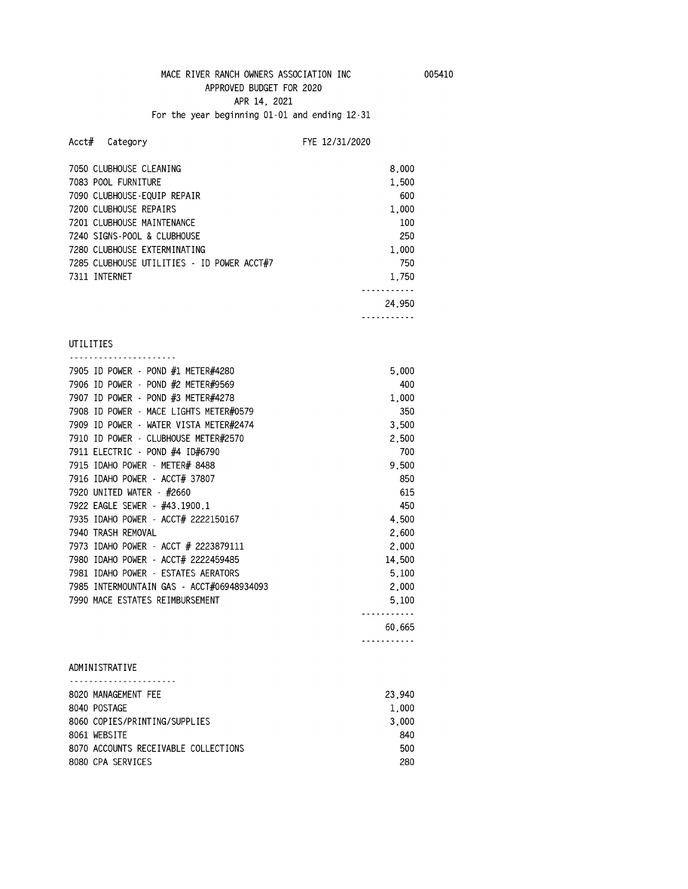**APR 14, 2021** 

## **For the year beginning 01-01 and ending 12-31**

## **Acct# Category FYE 12/31/2020**

| 7050 CLUBHOUSE CLEANING                    | 8.000  |
|--------------------------------------------|--------|
| 7083 POOL FURNITURE                        | 1.500  |
| 7090 CLUBHOUSE-EQUIP REPAIR                | 600    |
| 7200 CLUBHOUSE REPAIRS                     | 1.000  |
| 7201 CLUBHOUSE MAINTENANCE                 | 100    |
| 7240 STGNS-POOL & CLUBHOUSE                | 250    |
| 7280 CLUBHOUSE EXTERMINATING               | 1.000  |
| 7285 CLUBHOUSE UTILITIES - ID POWER ACCT#7 | 750    |
| 7311 INTERNET                              | 1.750  |
|                                            |        |
|                                            | 24.950 |

#### **-----------**

#### **UTILITIES**

| 7905 ID POWER - POND #1 METER#4280        | 5,000  |
|-------------------------------------------|--------|
| 7906 ID POWER - POND #2 METER#9569        | 400    |
| 7907 ID POWER - POND #3 METER#4278        | 1.000  |
| 7908 ID POWER - MACE LIGHTS METER#0579    | 350    |
| 7909 ID POWER - WATER VISTA METER#2474    | 3.500  |
| 7910 ID POWER - CLUBHOUSE METER#2570      | 2.500  |
| 7911 ELECTRIC - POND #4 ID#6790           | 700    |
| 7915 IDAHO POWER - METER# 8488            | 9,500  |
| 7916 IDAHO POWER - ACCT# 37807            | 850    |
| 7920 UNITED WATER - #2660                 | 615    |
| 7922 EAGLE SEWER - #43.1900.1             | 450    |
| 7935 IDAHO POWER - ACCT# 2222150167       | 4.500  |
| 7940 TRASH REMOVAL                        | 2,600  |
| 7973 IDAHO POWER - ACCT # 2223879111      | 2,000  |
| 7980 IDAHO POWER - ACCT# 2222459485       | 14,500 |
| 7981 IDAHO POWER - ESTATES AERATORS       | 5,100  |
| 7985 INTERMOUNTAIN GAS - ACCT#06948934093 | 2,000  |
| 7990 MACE ESTATES REIMBURSEMENT           | 5.100  |
|                                           |        |
|                                           | 60.665 |
|                                           |        |

# **ADMINISTRATIVE**

| 8020 MANAGEMENT FEE                  | 23,940 |
|--------------------------------------|--------|
| 8040 POSTAGE                         | 1.000  |
| 8060 COPIFS/PRINTING/SUPPLIFS        | 3.000  |
| 8061 WEBSITE                         | 840    |
| 8070 ACCOUNTS RECEIVABLE COLLECTIONS | 500    |
| 8080 CPA SERVICES                    | 280    |